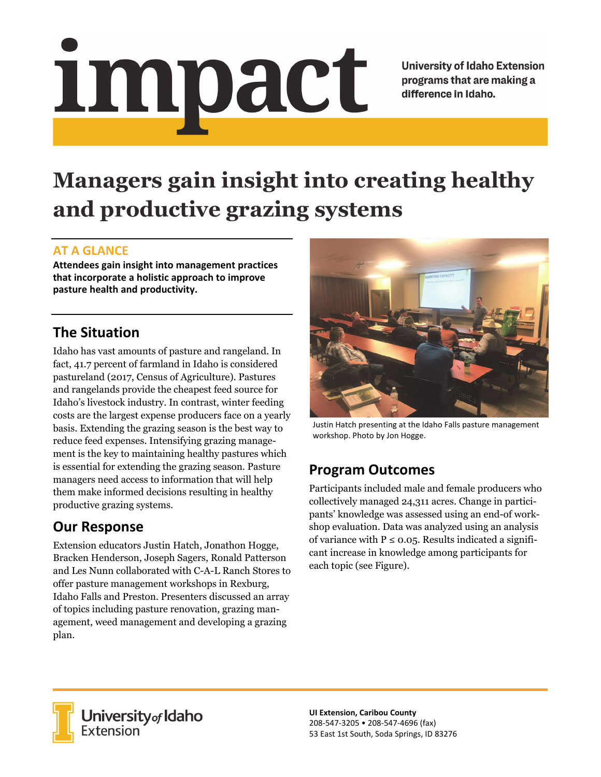# <u>impact</u>

**University of Idaho Extension** programs that are making a difference in Idaho.

# **Managers gain insight into creating healthy and productive grazing systems**

## **AT A GLANCE**

**Attendees gain insight into management practices that incorporate a holistic approach to improve pasture health and productivity.** 

# **The Situation**

Idaho has vast amounts of pasture and rangeland. In fact, 41.7 percent of farmland in Idaho is considered pastureland (2017, Census of Agriculture). Pastures and rangelands provide the cheapest feed source for Idaho's livestock industry. In contrast, winter feeding costs are the largest expense producers face on a yearly basis. Extending the grazing season is the best way to reduce feed expenses. Intensifying grazing management is the key to maintaining healthy pastures which is essential for extending the grazing season. Pasture managers need access to information that will help them make informed decisions resulting in healthy productive grazing systems.

# **Our Response**

Extension educators Justin Hatch, Jonathon Hogge, Bracken Henderson, Joseph Sagers, Ronald Patterson and Les Nunn collaborated with C-A-L Ranch Stores to offer pasture management workshops in Rexburg, Idaho Falls and Preston. Presenters discussed an array of topics including pasture renovation, grazing management, weed management and developing a grazing plan.



Justin Hatch presenting at the Idaho Falls pasture management workshop. Photo by Jon Hogge.

# **Program Outcomes**

Participants included male and female producers who collectively managed 24,311 acres. Change in participants' knowledge was assessed using an end-of workshop evaluation. Data was analyzed using an analysis of variance with  $P \le 0.05$ . Results indicated a significant increase in knowledge among participants for each topic (see Figure).



University<sub>of</sub> Idaho Extension

**UI Extension, Caribou County**  208‐547‐3205 • 208‐547‐4696 (fax) 53 East 1st South, Soda Springs, ID 83276